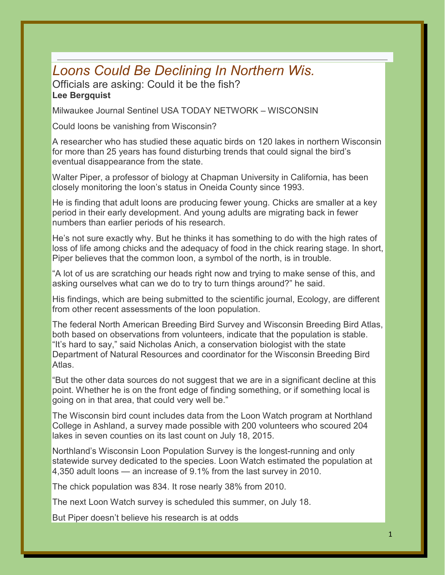## *Loons Could Be Declining In Northern Wis.*

## Officials are asking: Could it be the fish? **Lee Bergquist**

Milwaukee Journal Sentinel USA TODAY NETWORK – WISCONSIN

Could loons be vanishing from Wisconsin?

A researcher who has studied these aquatic birds on 120 lakes in northern Wisconsin for more than 25 years has found disturbing trends that could signal the bird's eventual disappearance from the state.

Walter Piper, a professor of biology at Chapman University in California, has been closely monitoring the loon's status in Oneida County since 1993.

He is finding that adult loons are producing fewer young. Chicks are smaller at a key period in their early development. And young adults are migrating back in fewer numbers than earlier periods of his research.

He's not sure exactly why. But he thinks it has something to do with the high rates of loss of life among chicks and the adequacy of food in the chick rearing stage. In short, Piper believes that the common loon, a symbol of the north, is in trouble.

"A lot of us are scratching our heads right now and trying to make sense of this, and asking ourselves what can we do to try to turn things around?" he said.

His findings, which are being submitted to the scientific journal, Ecology, are different from other recent assessments of the loon population.

The federal North American Breeding Bird Survey and Wisconsin Breeding Bird Atlas, both based on observations from volunteers, indicate that the population is stable. "It's hard to say," said Nicholas Anich, a conservation biologist with the state Department of Natural Resources and coordinator for the Wisconsin Breeding Bird Atlas.

"But the other data sources do not suggest that we are in a significant decline at this point. Whether he is on the front edge of finding something, or if something local is going on in that area, that could very well be."

The Wisconsin bird count includes data from the Loon Watch program at Northland College in Ashland, a survey made possible with 200 volunteers who scoured 204 lakes in seven counties on its last count on July 18, 2015.

Northland's Wisconsin Loon Population Survey is the longest-running and only statewide survey dedicated to the species. Loon Watch estimated the population at 4,350 adult loons — an increase of 9.1% from the last survey in 2010.

The chick population was 834. It rose nearly 38% from 2010.

The next Loon Watch survey is scheduled this summer, on July 18.

But Piper doesn't believe his research is at odds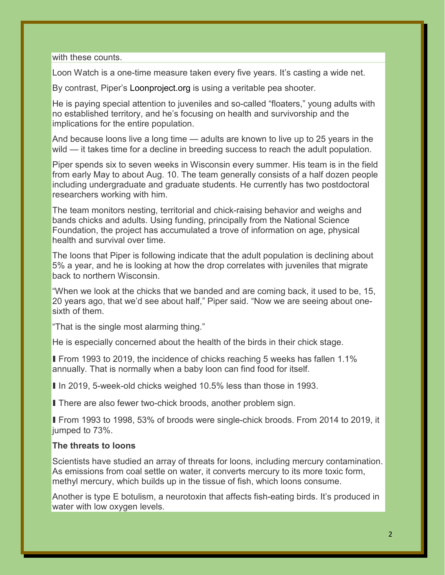with these counts.

Loon Watch is a one-time measure taken every five years. It's casting a wide net.

By contrast, Piper's Loonproject.org is using a veritable pea shooter.

He is paying special attention to juveniles and so-called "floaters," young adults with no established territory, and he's focusing on health and survivorship and the implications for the entire population.

And because loons live a long time — adults are known to live up to 25 years in the wild — it takes time for a decline in breeding success to reach the adult population.

Piper spends six to seven weeks in Wisconsin every summer. His team is in the field from early May to about Aug. 10. The team generally consists of a half dozen people including undergraduate and graduate students. He currently has two postdoctoral researchers working with him.

The team monitors nesting, territorial and chick-raising behavior and weighs and bands chicks and adults. Using funding, principally from the National Science Foundation, the project has accumulated a trove of information on age, physical health and survival over time.

The loons that Piper is following indicate that the adult population is declining about 5% a year, and he is looking at how the drop correlates with juveniles that migrate back to northern Wisconsin.

"When we look at the chicks that we banded and are coming back, it used to be, 15, 20 years ago, that we'd see about half," Piper said. "Now we are seeing about onesixth of them.

"That is the single most alarming thing."

He is especially concerned about the health of the birds in their chick stage.

■ From 1993 to 2019, the incidence of chicks reaching 5 weeks has fallen 1.1% annually. That is normally when a baby loon can find food for itself.

■ In 2019, 5-week-old chicks weighed 10.5% less than those in 1993.

**There are also fewer two-chick broods, another problem sign.** 

■ From 1993 to 1998, 53% of broods were single-chick broods. From 2014 to 2019, it jumped to 73%.

## **The threats to loons**

Scientists have studied an array of threats for loons, including mercury contamination. As emissions from coal settle on water, it converts mercury to its more toxic form, methyl mercury, which builds up in the tissue of fish, which loons consume.

Another is type E botulism, a neurotoxin that affects fish-eating birds. It's produced in water with low oxygen levels.